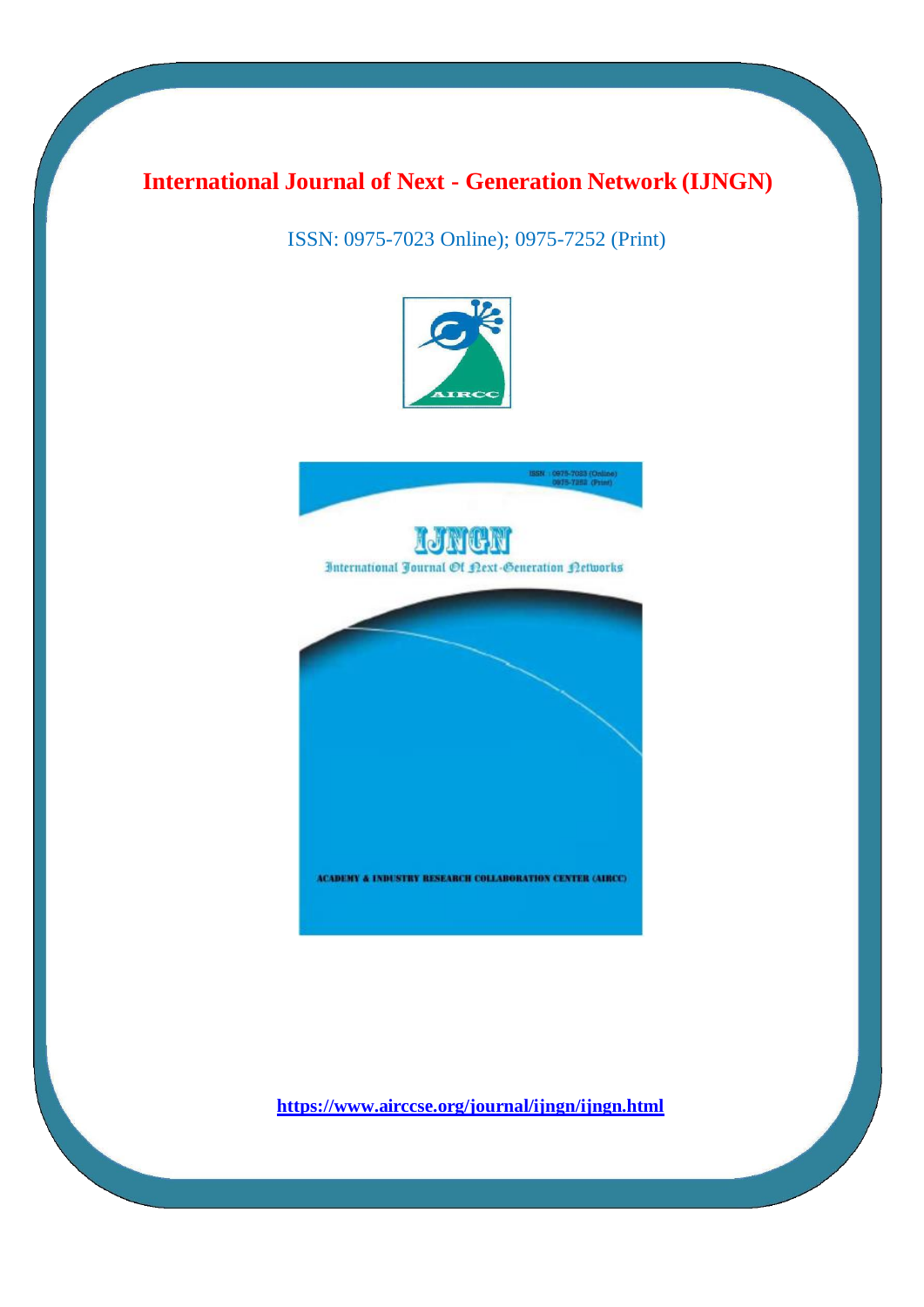## **International Journal of Next - Generation Network (IJNGN)**

ISSN: 0975-7023 Online); 0975-7252 (Print)





International Fournal Of Lext-Generation Letworks

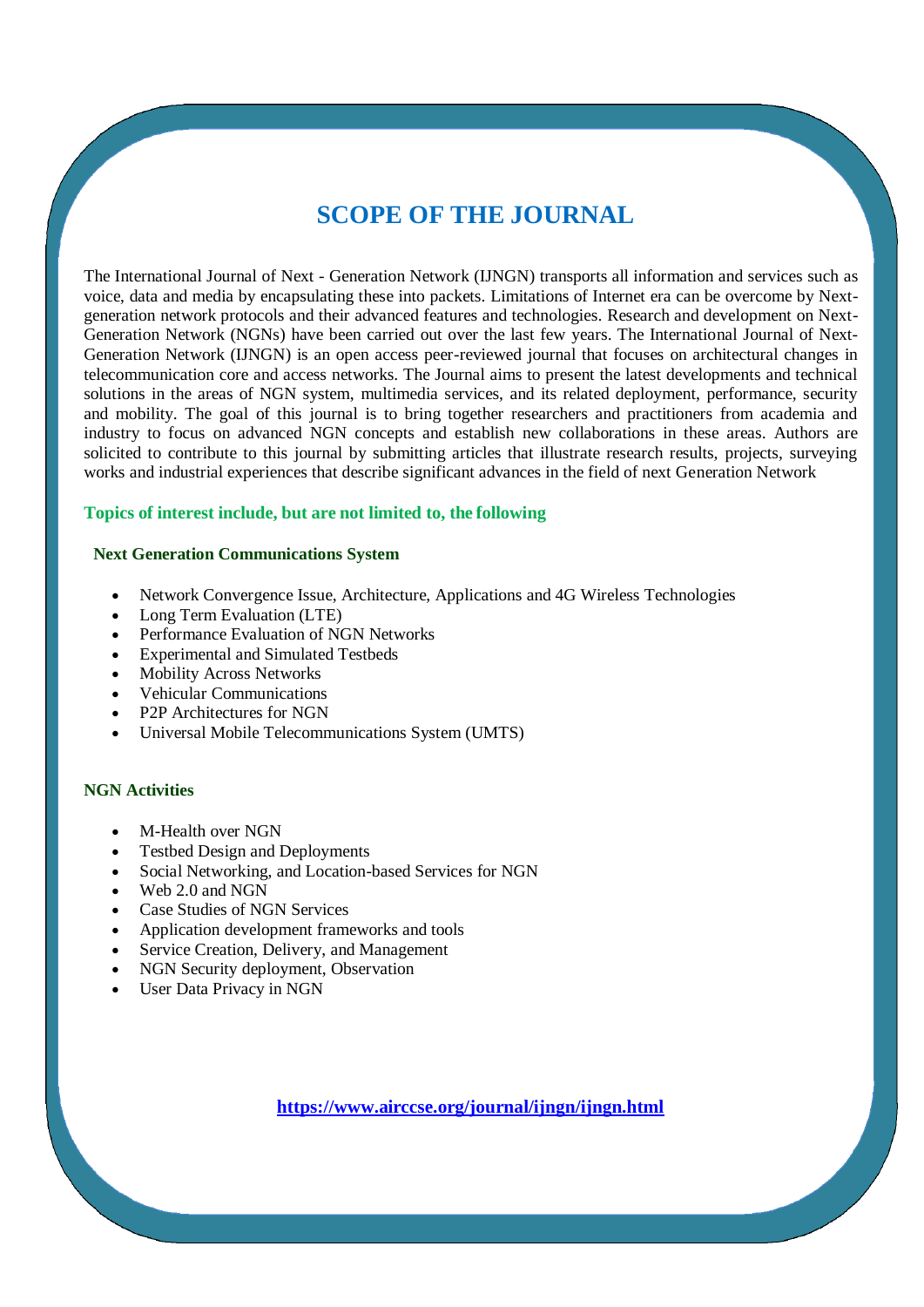## **SCOPE OF THE JOURNAL**

The International Journal of Next - Generation Network (IJNGN) transports all information and services such as voice, data and media by encapsulating these into packets. Limitations of Internet era can be overcome by Nextgeneration network protocols and their advanced features and technologies. Research and development on Next-Generation Network (NGNs) have been carried out over the last few years. The International Journal of Next-Generation Network (IJNGN) is an open access peer-reviewed journal that focuses on architectural changes in telecommunication core and access networks. The Journal aims to present the latest developments and technical solutions in the areas of NGN system, multimedia services, and its related deployment, performance, security and mobility. The goal of this journal is to bring together researchers and practitioners from academia and industry to focus on advanced NGN concepts and establish new collaborations in these areas. Authors are solicited to contribute to this journal by submitting articles that illustrate research results, projects, surveying works and industrial experiences that describe significant advances in the field of next Generation Network

#### **Topics of interest include, but are not limited to, the following**

#### **Next Generation Communications System**

- Network Convergence Issue, Architecture, Applications and 4G Wireless Technologies
- Long Term Evaluation (LTE)
- Performance Evaluation of NGN Networks
- Experimental and Simulated Testbeds
- Mobility Across Networks
- Vehicular Communications
- P2P Architectures for NGN
- Universal Mobile Telecommunications System (UMTS)

#### **NGN Activities**

- M-Health over NGN
- Testbed Design and Deployments
- Social Networking, and Location-based Services for NGN
- $\bullet$  Web 2.0 and NGN
- Case Studies of NGN Services
- Application development frameworks and tools
- Service Creation, Delivery, and Management
- NGN Security deployment, Observation
- User Data Privacy in NGN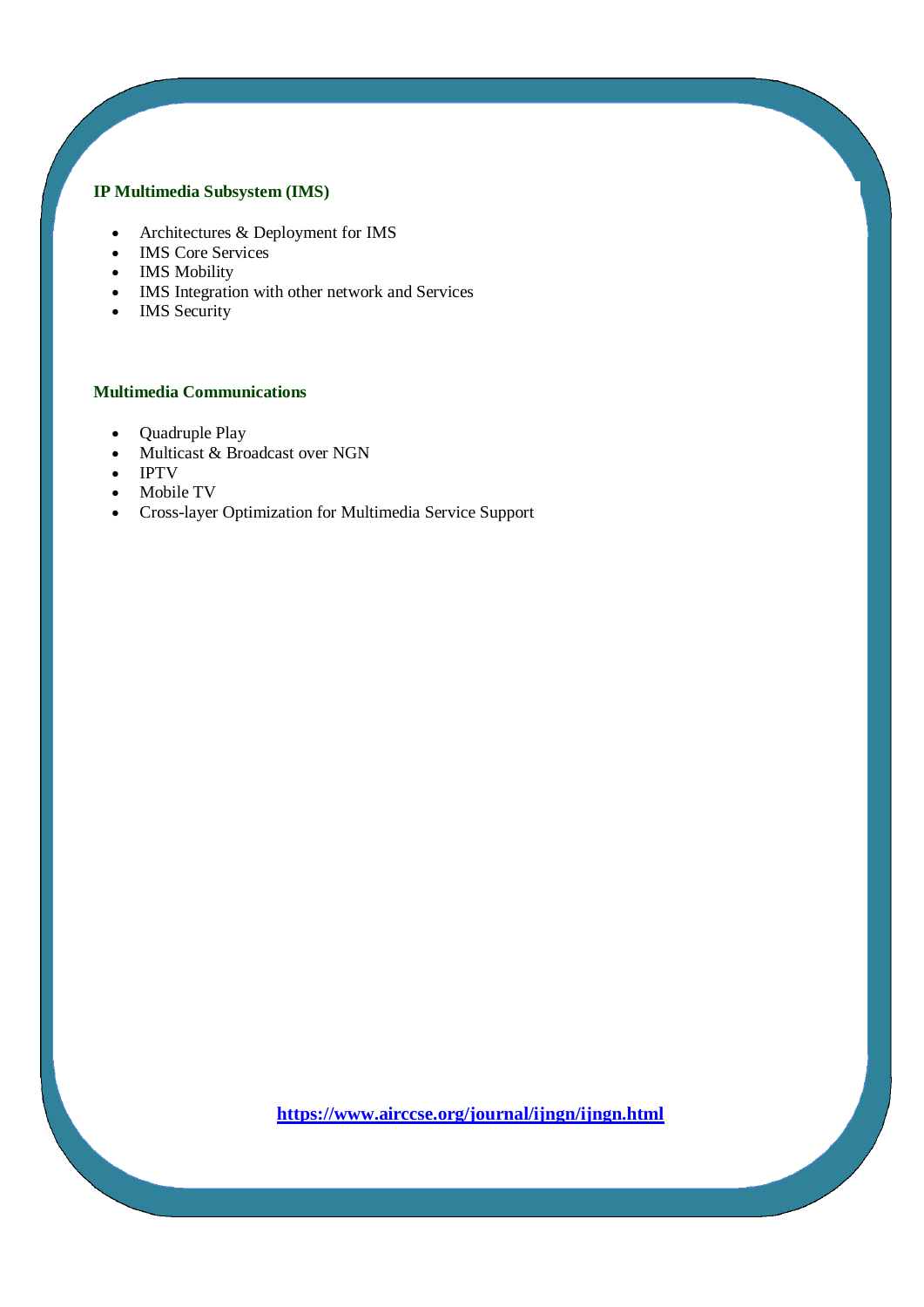#### **IP Multimedia Subsystem (IMS)**

- Architectures & Deployment for IMS
- IMS Core Services
- IMS Mobility
- IMS Integration with other network and Services
- IMS Security

#### **Multimedia Communications**

- Quadruple Play
- Multicast & Broadcast over NGN
- IPTV
- Mobile TV
- Cross-layer Optimization for Multimedia Service Support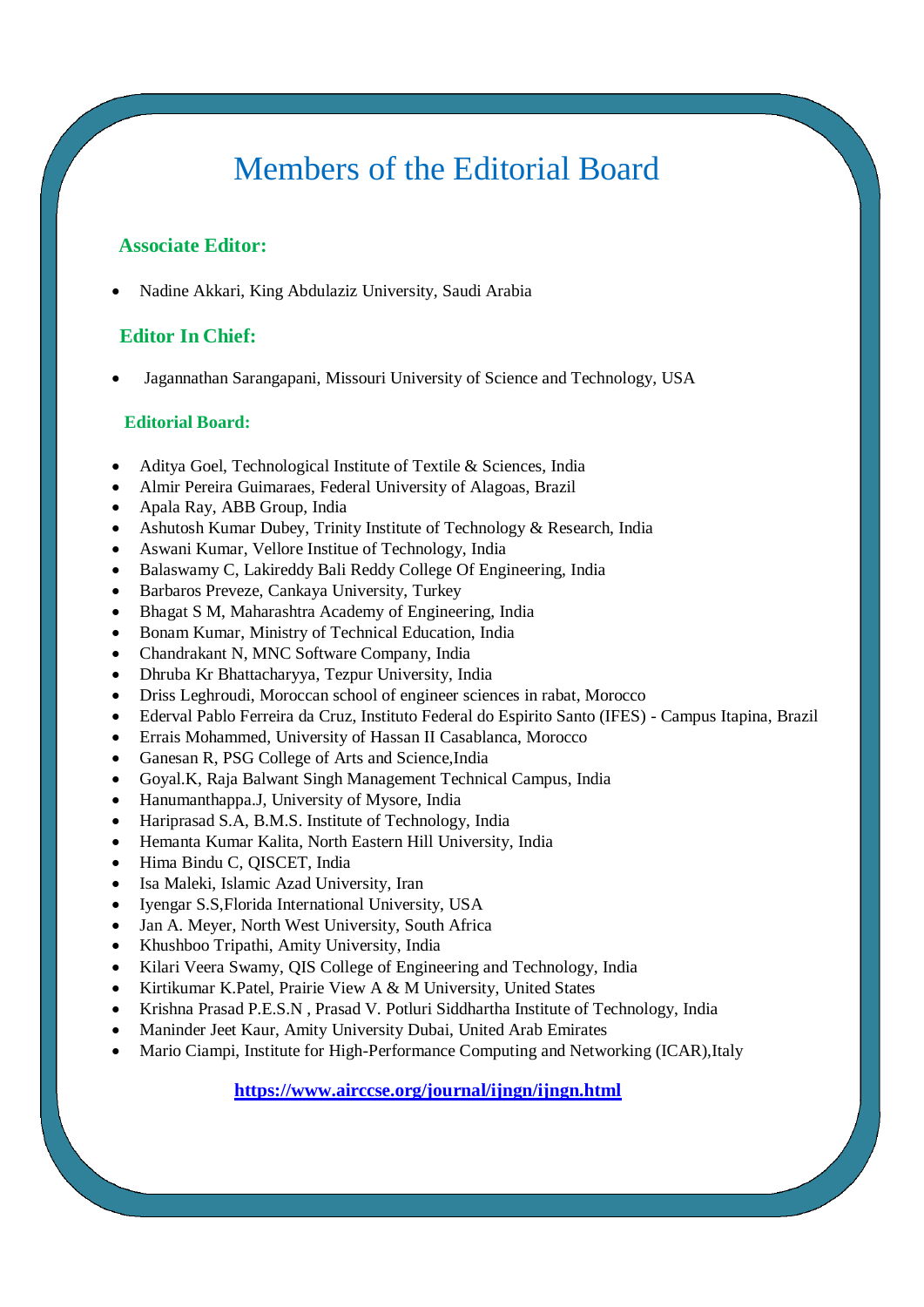# Members of the Editorial Board

#### **Associate Editor:**

[Nadine Akkari,](http://scholar.google.co.in/scholar?q=Nadine+Akkari&btnG=&hl=en&as_sdt=0%2C5) King Abdulaziz University, Saudi Arabia

### **Editor In Chief:**

[Jagannathan Sarangapani,](http://scholar.google.co.in/scholar?q=Jagannathan++Sarangapani&btnG=&hl=en&as_sdt=0%2C5) Missouri University of Science and Technology, USA

#### **Editorial Board:**

- [Aditya Goel,](http://scholar.google.co.in/scholar?q=Aditya+goel&btnG=&hl=en&as_sdt=0%2C5) Technological Institute of Textile & Sciences, India
- [Almir Pereira Guimaraes,](http://scholar.google.co.in/scholar?q=Almir+Pereira+Guimaraes&btnG=&hl=en&as_sdt=0%2C5) Federal University of Alagoas, Brazil
- [Apala Ray,](https://scholar.google.co.in/scholar?q=Apala+Ray&btnG=&hl=en&as_sdt=0%2C5) ABB Group, India
- [Ashutosh Kumar Dubey,](http://scholar.google.co.in/scholar?q=Ashutosh+Kumar+Dubey&btnG=&hl=en&as_sdt=0%2C5) Trinity Institute of Technology & Research, India
- [Aswani Kumar,](http://scholar.google.co.in/scholar?q=Aswani+Kumar&btnG=&hl=en&as_sdt=0%2C5) Vellore Institue of Technology, India
- [Balaswamy C,](http://scholar.google.co.in/scholar?q=Ch.+Balaswamy&btnG=&hl=en&as_sdt=0%2C5) Lakireddy Bali Reddy College Of Engineering, India
- [Barbaros Preveze,](http://scholar.google.co.in/scholar?q=+Barbaros+Preveze&btnG=&hl=en&as_sdt=0%2C5) Cankaya University, Turkey
- [Bhagat S M,](https://scholar.google.co.in/scholar?q=Bhagat+S+M&btnG=&hl=en&as_sdt=0%2C5) Maharashtra Academy of Engineering, India
- [Bonam Kumar,](https://scholar.google.co.in/scholar?q=Bonam+Kumar&btnG=&hl=en&as_sdt=0%2C5) Ministry of Technical Education, India
- [Chandrakant N,](http://scholar.google.co.in/scholar?q=Chandrakant+N&btnG=&hl=en&as_sdt=0%2C5) MNC Software Company, India
- [Dhruba Kr Bhattacharyya,](http://scholar.google.co.in/scholar?q=Dhruba+Kr+Bhattacharyya&btnG=&hl=en&as_sdt=0%2C5) Tezpur University, India
- [Driss Leghroudi,](https://scholar.google.co.in/scholar?q=DRISS+LEGHROUDI&btnG=&hl=en&as_sdt=0%2C5) Moroccan school of engineer sciences in rabat, Morocco
- [Ederval Pablo Ferreira da Cruz,](http://scholar.google.co.in/scholar?hl=en&q=Ederval+Pablo+Ferreira+da+Cruz&btnG=) Instituto Federal do Espirito Santo (IFES) Campus Itapina, Brazil
- [Errais Mohammed,](https://scholar.google.co.in/scholar?q=Errais+Mohammed&btnG=&hl=en&as_sdt=0%2C5) University of Hassan II Casablanca, Morocco
- [Ganesan R,](http://scholar.google.co.in/scholar?q=GANESAN+R&btnG=&hl=en&as_sdt=0%2C5) PSG College of Arts and Science,India
- [Goyal.K,](https://scholar.google.co.in/scholar?q=Goyal.K&btnG=&hl=en&as_sdt=0%2C5) Raja Balwant Singh Management Technical Campus, India
- [Hanumanthappa.J,](http://scholar.google.co.in/scholar?q=Hanumanthappa.J&btnG=&hl=en&as_sdt=0%2C5) University of Mysore, India
- [Hariprasad S.A,](http://scholar.google.co.in/scholar?q=Hariprasad+S.A&btnG=&hl=en&as_sdt=0%2C5) B.M.S. Institute of Technology, India
- [Hemanta Kumar Kalita,](https://scholar.google.co.in/scholar?q=Hemanta+Kumar+Kalita&btnG=&hl=en&as_sdt=0%2C5) North Eastern Hill University, India
- [Hima Bindu C,](http://scholar.google.co.in/scholar?q=Ch.Hima+Bindu&btnG=&hl=en&as_sdt=0%2C5) QISCET, India
- [Isa Maleki,](http://scholar.google.com/scholar?q=Isa+Maleki&btnG=&hl=en&as_sdt=0%2C5) Islamic Azad University, Iran
- [Iyengar S.S,](http://scholar.google.co.in/scholar?q=Iyengar+S.S&btnG=&hl=en&as_sdt=0%2C5)Florida International University, USA
- [Jan A. Meyer,](http://scholar.google.co.in/scholar?q=Jan+A.+Meyer&btnG=&hl=en&as_sdt=0%2C5) North West University, South Africa
- [Khushboo Tripathi,](https://scholar.google.co.in/scholar?q=Khushboo+Tripathi&btnG=&hl=en&as_sdt=0%2C5) Amity University, India
- [Kilari Veera Swamy,](http://scholar.google.co.in/scholar?q=Kilari+Veera+Swamy&btnG=&hl=en&as_sdt=0%2C5) QIS College of Engineering and Technology, India
- [Kirtikumar K.Patel,](https://scholar.google.co.in/scholar?hl=en&q=Kirtikumar+K.+Patel&btnG=) Prairie View A & M University, United States
- Krishna [Prasad P.E.S.N](http://scholar.google.co.in/scholar?q=P.+E.+S.+N.+Krishna+Prasad&btnG=&hl=en&as_sdt=0%2C5) , Prasad V. Potluri Siddhartha Institute of Technology, India
- [Maninder Jeet Kaur,](https://scholar.google.co.in/scholar?q=Maninder+Jeet+Kaur&btnG=&hl=en&as_sdt=0%2C5) Amity University Dubai, United Arab Emirates
- [Mario Ciampi,](http://scholar.google.co.in/scholar?q=Mario+Ciampi&btnG=&hl=en&as_sdt=0%2C5) Institute for High-Performance Computing and Networking (ICAR),Italy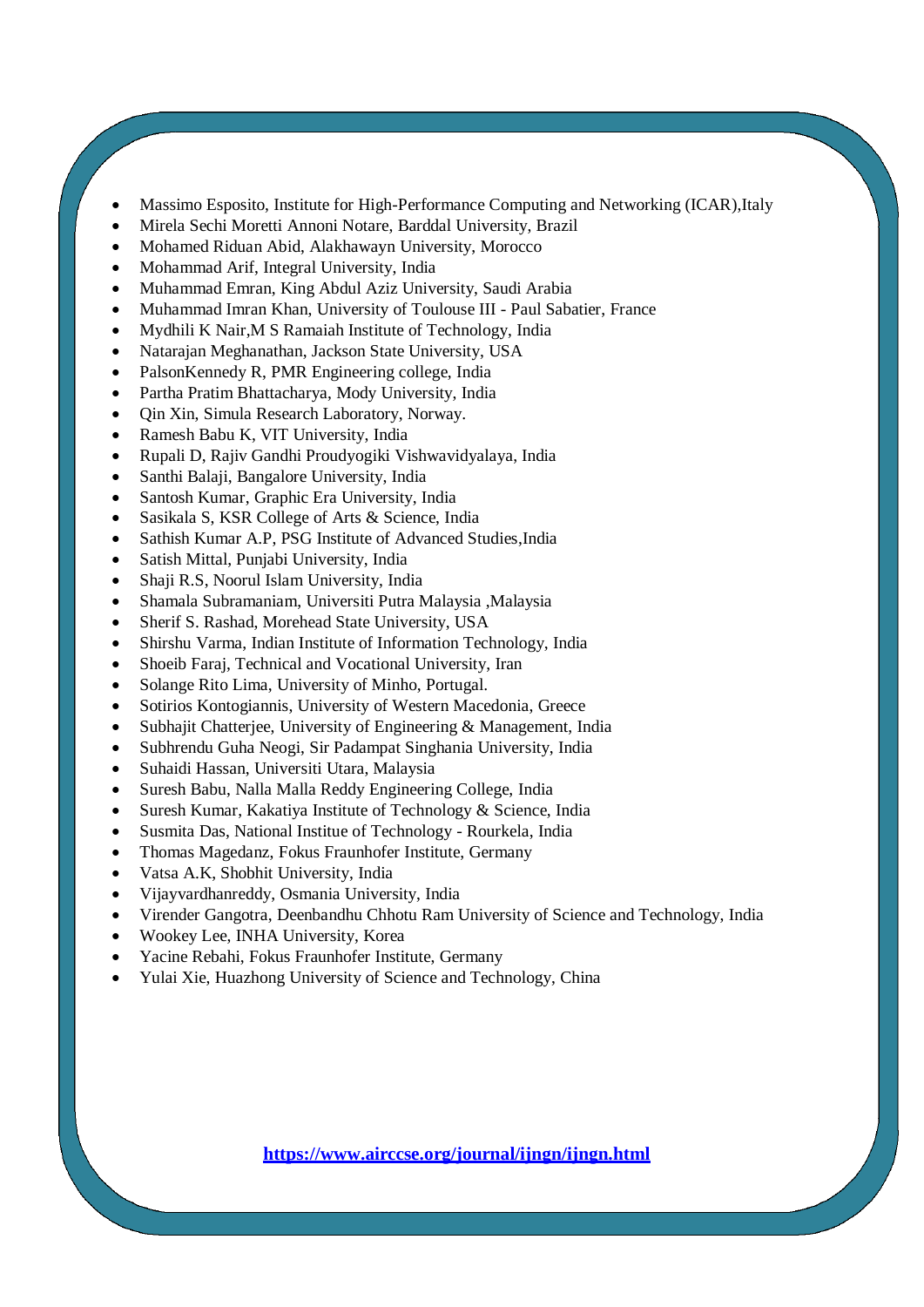- [Massimo Esposito,](http://scholar.google.co.in/scholar?q=Massimo+Esposito&btnG=&hl=en&as_sdt=0%2C5) Institute for High-Performance Computing and Networking (ICAR),Italy
- [Mirela Sechi Moretti Annoni Notare,](http://scholar.google.co.in/scholar?q=Mirela+Sechi+Moretti+Annoni+Notare&btnG=&hl=en&as_sdt=0%2C5) Barddal University, Brazil
- [Mohamed Riduan Abid,](http://scholar.google.co.in/scholar?q=Mohamed+Riduan+ABID&btnG=&hl=en&as_sdt=0%2C5) Alakhawayn University, Morocco
- [Mohammad Arif,](http://scholar.google.co.in/scholar?q=Mohammad+Arif&btnG=&hl=en&as_sdt=0%2C5) Integral University, India
- [Muhammad Emran,](http://scholar.google.co.in/scholar?hl=en&as_sdt=0,5&q=Muhammad+Imran) King Abdul Aziz University, Saudi Arabia
- [Muhammad Imran Khan,](http://scholar.google.co.in/scholar?q=Muhammad+Imran+Khan&btnG=&hl=en&as_sdt=0%2C5) University of Toulouse III Paul Sabatier, France
- [Mydhili K Nair,](http://scholar.google.co.in/scholar?hl=en&as_sdt=0,5&q=Mythili+K+Nair)M S Ramaiah Institute of Technology, India
- [Natarajan Meghanathan,](http://scholar.google.co.in/scholar?q=Natarajan+Meghanathan&btnG=&hl=en&as_sdt=0%2C5) Jackson State University, USA
- [PalsonKennedy R,](http://scholar.google.co.in/scholar?q=PalsonKennedy+R&btnG=&hl=en&as_sdt=0%2C5) PMR Engineering college, India
- [Partha Pratim Bhattacharya,](https://scholar.google.co.in/scholar?q=Partha+Pratim+Bhattacharya&btnG=&hl=en&as_sdt=0%2C5) Mody University, India
- [Qin Xin,](http://scholar.google.co.in/scholar?q=Qin+Xin&btnG=&hl=en&as_sdt=0%2C5) Simula Research Laboratory, Norway.
- [Ramesh Babu K,](http://scholar.google.co.in/scholar?q=Ramesh+Babu+K%2C+VIT+University%2C+India&btnG=&hl=en&as_sdt=0%2C5) VIT University, India
- [Rupali D,](http://scholar.google.co.in/scholar?q=Rupali+D%2C+Rajiv+Gandhi+Proudyogiki+Vishwavidyalaya%2C+India&btnG=&hl=en&as_sdt=0%2C5) Rajiv Gandhi Proudyogiki Vishwavidyalaya, India
- [Santhi Balaji,](https://scholar.google.co.in/scholar?q=Santhi+Balaji&btnG=&hl=en&as_sdt=0%2C5) Bangalore University, India
- [Santosh Kumar,](https://scholar.google.co.in/scholar?q=Santosh+Kumar&btnG=&hl=en&as_sdt=0%2C5) Graphic Era University, India
- [Sasikala S,](https://scholar.google.co.in/scholar?q=Sasikala+S&btnG=&hl=en&as_sdt=0%2C5) KSR College of Arts & Science, India
- [Sathish Kumar A.P,](http://scholar.google.co.in/scholar?q=Sathish+Kumar+A.P&btnG=&hl=en&as_sdt=0%2C5) PSG Institute of Advanced Studies,India
- [Satish Mittal,](http://scholar.google.co.in/scholar?q=Satish+Mittal%2C+Punjabi+University%2C+India&btnG=&hl=en&as_sdt=0%2C5) Punjabi University, India
- [Shaji R.S,](https://scholar.google.co.in/scholar?q=R+S+Shaji&btnG=&hl=en&as_sdt=0%2C5) Noorul Islam University, India
- [Shamala Subramaniam,](http://scholar.google.co.in/scholar?q=Dr+Shamala+Subramaniam&btnG=&hl=en&as_sdt=0%2C5) Universiti Putra Malaysia ,Malaysia
- [Sherif S. Rashad,](http://scholar.google.co.in/scholar?q=Sherif+S.+Rashad&btnG=&hl=en&as_sdt=0%2C5) Morehead State University, USA
- [Shirshu Varma,](http://scholar.google.co.in/scholar?q=Shirshu+Varma&btnG=&hl=en&as_sdt=0%2C5) Indian Institute of Information Technology, India
- [Shoeib Faraj,](https://scholar.google.com/citations?user=qchU0SIAAAAJ&hl=en) Technical and Vocational University, Iran
- [Solange Rito Lima,](http://scholar.google.co.in/scholar?q=Solange+Rito+Lima&btnG=&hl=en&as_sdt=0%2C5) University of Minho, Portugal.
- [Sotirios Kontogiannis,](https://scholar.google.co.in/scholar?q=Sotirios+Kontogiannis&btnG=&hl=en&as_sdt=0%2C5) University of Western Macedonia, Greece
- [Subhajit Chatterjee,](https://scholar.google.co.in/scholar?q=Subhajit+Chatterjee&btnG=&hl=en&as_sdt=0%2C5) University of Engineering & Management, India
- [Subhrendu Guha Neogi,](http://scholar.google.co.in/scholar?q=Subhrendu+Guha+Neogi%2C+Sir+Padampat+Singhania+University%2C+India&btnG=&hl=en&as_sdt=0%2C5) Sir Padampat Singhania University, India
- [Suhaidi Hassan,](http://scholar.google.co.in/scholar?q=Suhaidi+Hassan&btnG=&hl=en&as_sdt=0%2C5) Universiti Utara, Malaysia
- [Suresh Babu,](https://scholar.google.co.in/scholar?q=Suresh+Babu&btnG=&hl=en&as_sdt=0%2C5) Nalla Malla Reddy Engineering College, India
- [Suresh Kumar,](https://scholar.google.co.in/scholar?q=Suresh+Kumar&btnG=&hl=en&as_sdt=0%2C5) Kakatiya Institute of Technology & Science, India
- [Susmita Das,](http://scholar.google.co.in/scholar?q=Susmita+Das&btnG=&hl=en&as_sdt=0%2C5) National Institue of Technology Rourkela, India
- [Thomas Magedanz,](http://scholar.google.co.in/scholar?q=Thomas+Magedanz&btnG=&hl=en&as_sdt=0%2C5) Fokus Fraunhofer Institute, Germany
- [Vatsa A.K,](http://scholar.google.co.in/scholar?hl=en&q=A.+K.+Vatsa&btnG=&as_sdt=1%2C5&as_sdtp=) Shobhit University, India
- [Vijayvardhanreddy,](https://scholar.google.co.in/scholar?q=Vijayvardhanreddy&btnG=&hl=en&as_sdt=0%2C5) Osmania University, India
- [Virender Gangotra,](https://scholar.google.co.in/scholar?q=Virender+Gangotra&btnG=&hl=en&as_sdt=0%2C5) Deenbandhu Chhotu Ram University of Science and Technology, India
- [Wookey Lee,](https://scholar.google.co.in/scholar?q=Wookey+Lee&btnG=&hl=en&as_sdt=0%2C5) INHA University, Korea
- [Yacine Rebahi,](http://scholar.google.co.in/scholar?q=Yacine+Rebahi&btnG=&hl=en&as_sdt=0%2C5) Fokus Fraunhofer Institute, Germany
- [Yulai Xie,](https://scholar.google.co.in/scholar?q=Yulai+Xie&btnG=&hl=en&as_sdt=0%2C5) Huazhong University of Science and Technology, China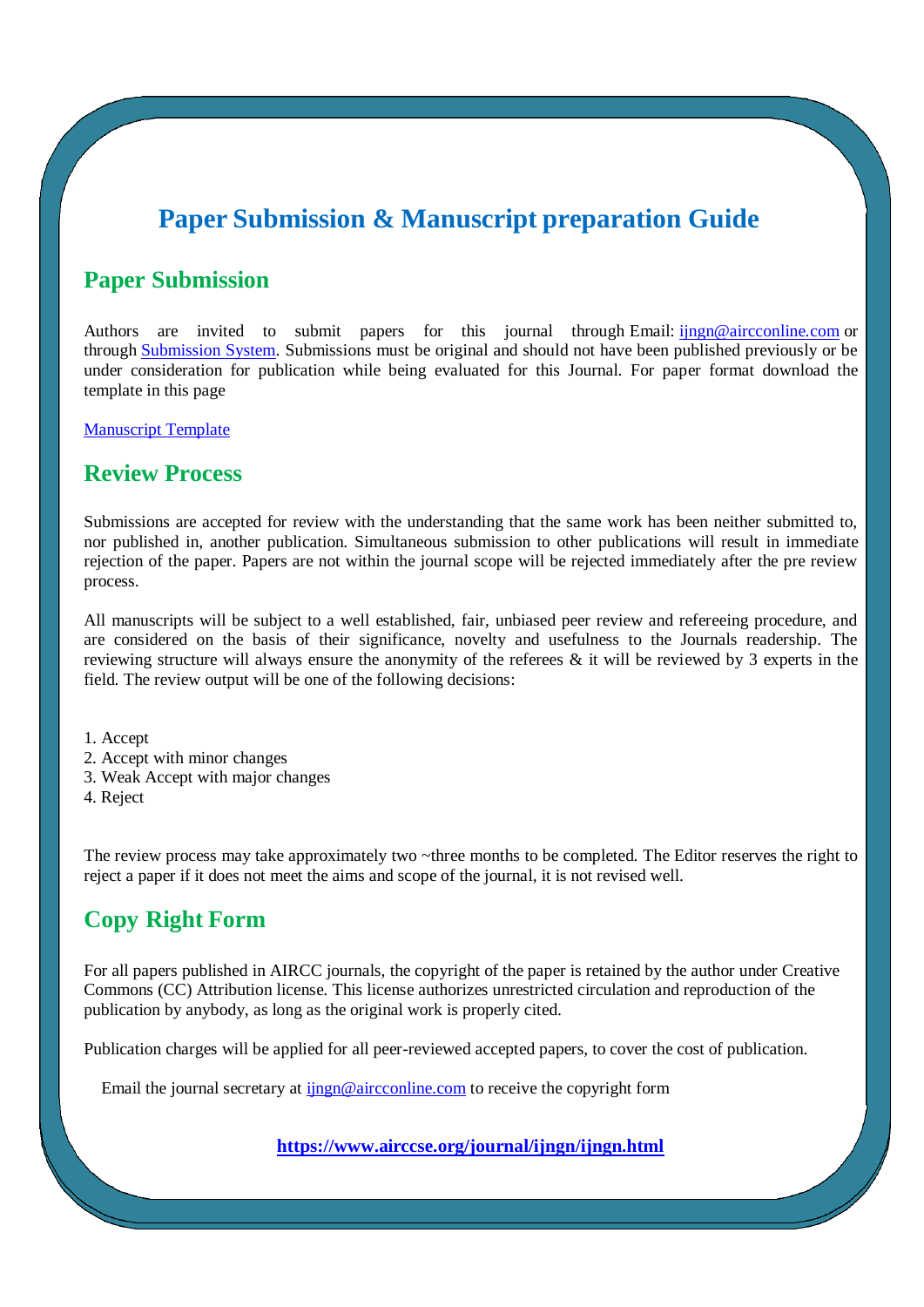## **Paper Submission & Manuscript preparation Guide**

### **Paper Submission**

Authors are invited to submit papers for this journal through Email: ingn@aircconline.com or through [Submission System.](http://coneco2009.com/submissions/imagination/home.html) Submissions must be original and should not have been published previously or be under consideration for publication while being evaluated for this Journal. For paper format download the template in this page

[Manuscript Template](http://www.airccse.org/journal/aircc_template.doc)

### **Review Process**

Submissions are accepted for review with the understanding that the same work has been neither submitted to, nor published in, another publication. Simultaneous submission to other publications will result in immediate rejection of the paper. Papers are not within the journal scope will be rejected immediately after the pre review process.

All manuscripts will be subject to a well established, fair, unbiased peer review and refereeing procedure, and are considered on the basis of their significance, novelty and usefulness to the Journals readership. The reviewing structure will always ensure the anonymity of the referees & it will be reviewed by 3 experts in the field. The review output will be one of the following decisions:

1. Accept

- 2. Accept with minor changes
- 3. Weak Accept with major changes
- 4. Reject

The review process may take approximately two ~three months to be completed. The Editor reserves the right to reject a paper if it does not meet the aims and scope of the journal, it is not revised well.

## **Copy Right Form**

For all papers published in AIRCC journals, the copyright of the paper is retained by the author under Creative Commons (CC) Attribution license. This license authorizes unrestricted circulation and reproduction of the publication by anybody, as long as the original work is properly cited.

Publication charges will be applied for all peer-reviewed accepted papers, to cover the cost of publication.

Email the journal secretary at  $\lim_{n \to \infty} \omega$  aircconline.com to receive the copyright form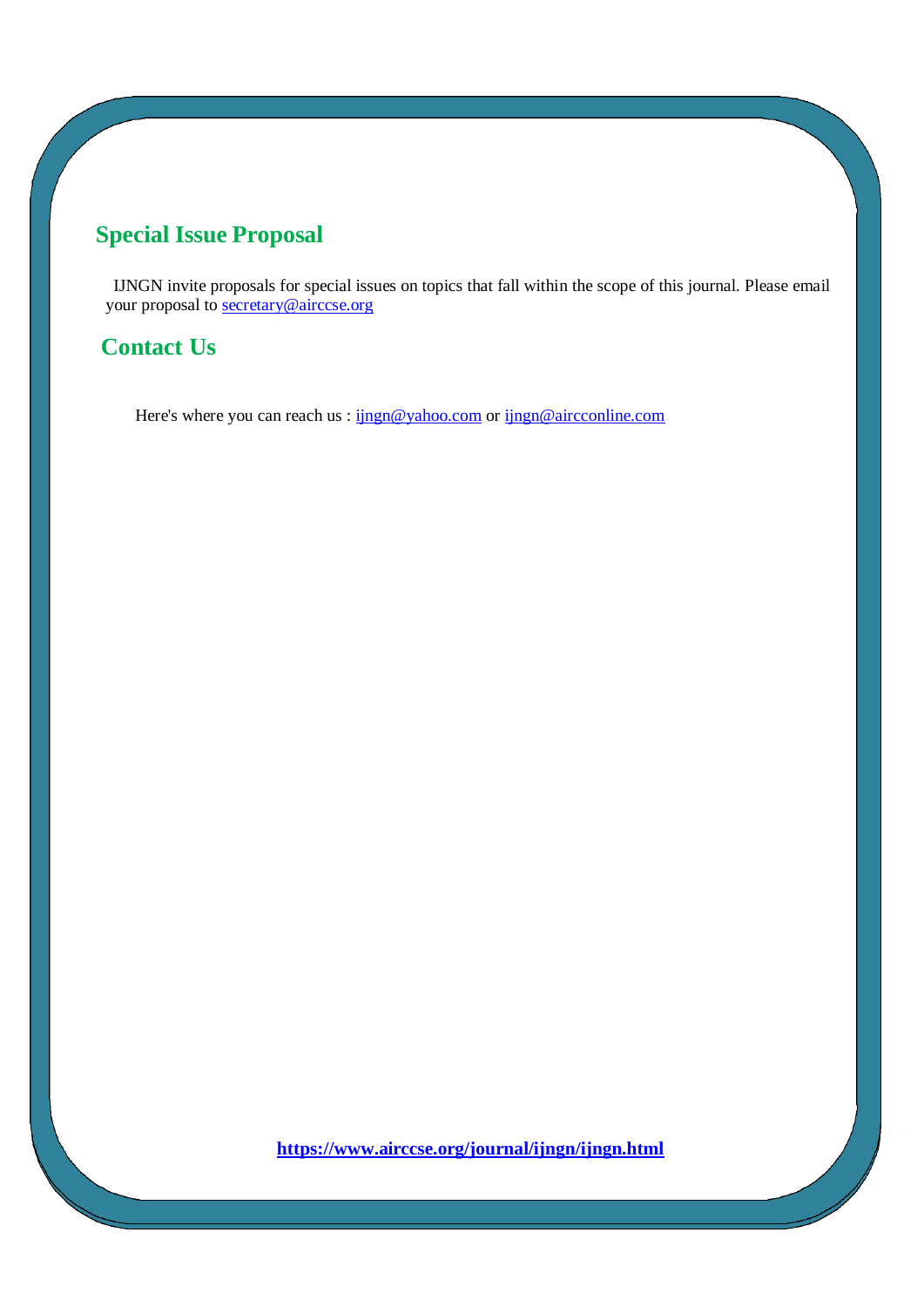## **Special Issue Proposal**

IJNGN invite proposals for special issues on topics that fall within the scope of this journal. Please email your proposal to [secretary@airccse.org](mailto:secretary@airccse.org)

### **Contact Us**

Here's where you can reach us : ingn@yahoo.com or [ijngn@aircconline.com](mailto:ijngn@aircconline.com)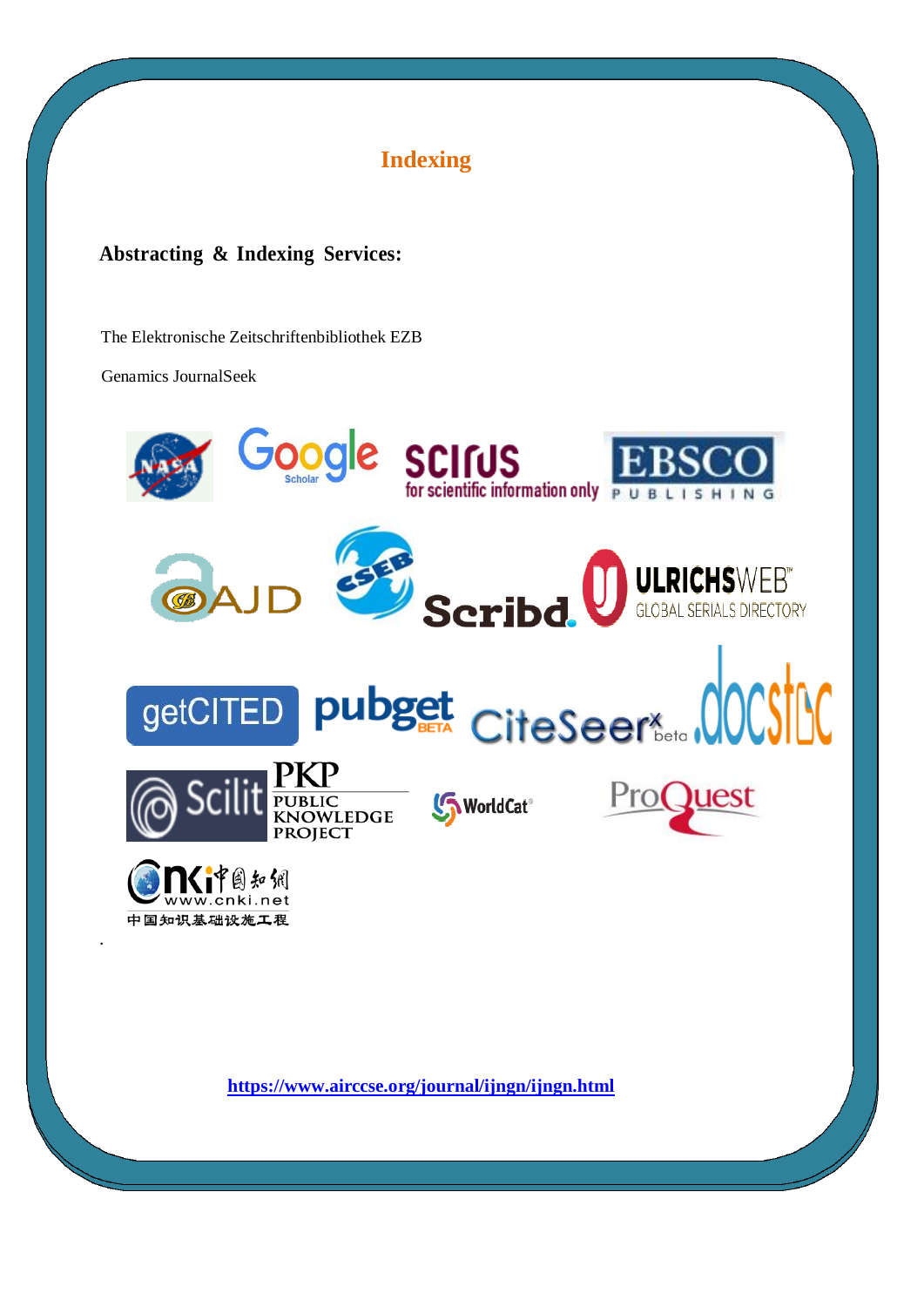

### **Abstracting & Indexing Services:**

[The Elektronische Zeitschriftenbibliothek EZB](http://ezb.uni-regensburg.de/index.phtml?bibid=AAAAA&colors=1&lang=en)

[Genamics JournalSeek](http://journalseek.net/cgi-bin/journalseek/journalsearch.cgi?field=issn&query=0975-7252)

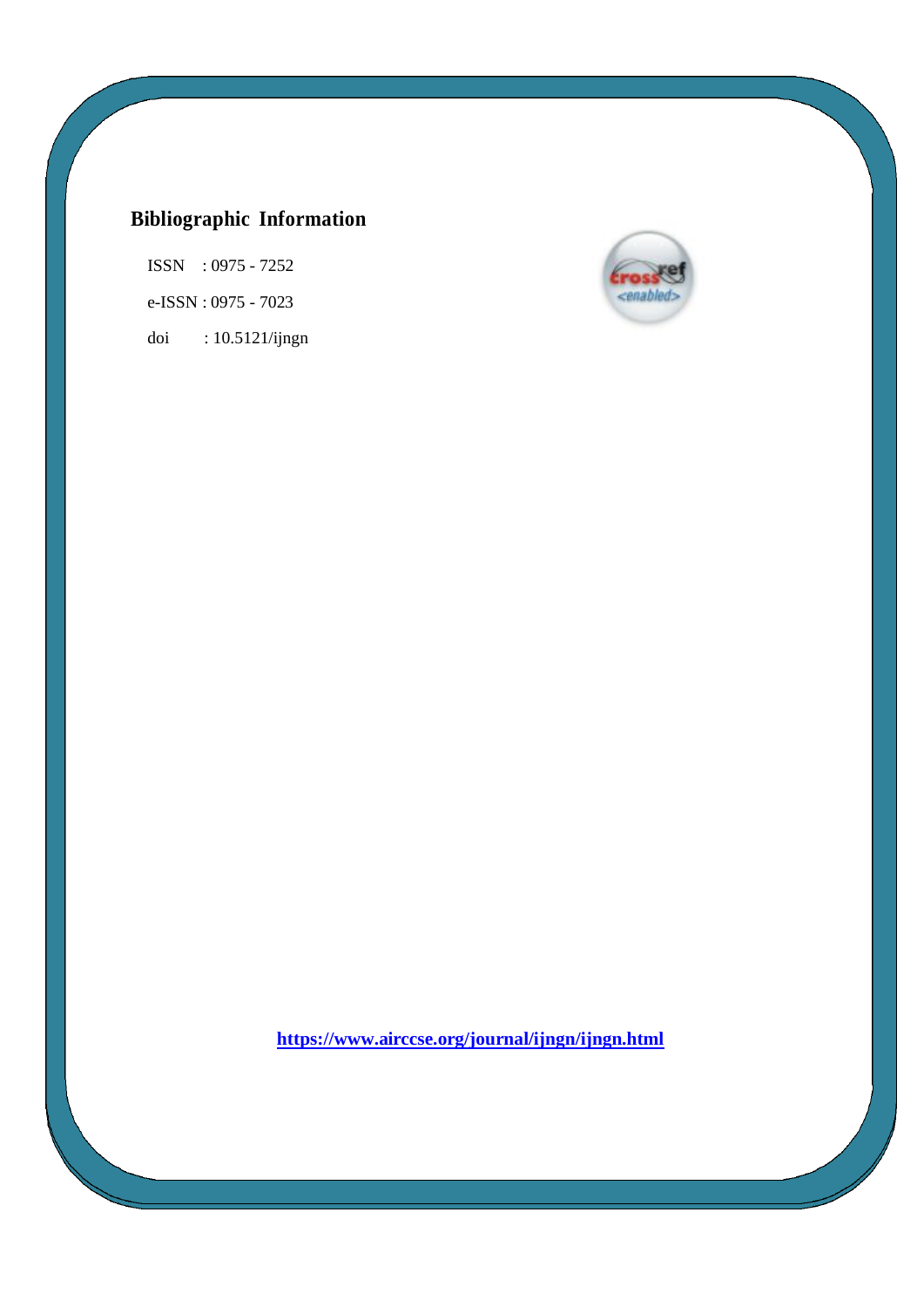## **Bibliographic Information**

ISSN : 0975 - 7252 e-ISSN : 0975 - 7023 doi : 10.5121/ijngn